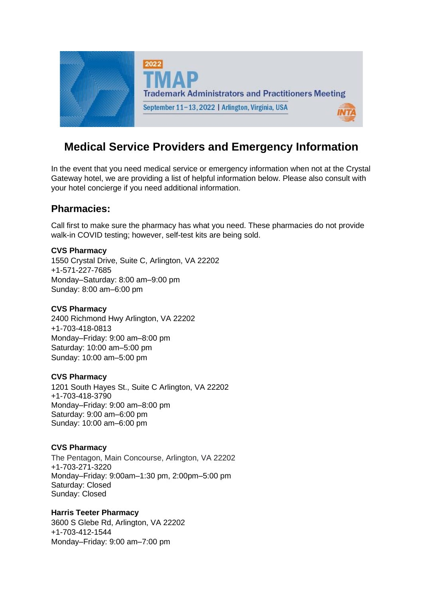

# **Medical Service Providers and Emergency Information**

In the event that you need medical service or emergency information when not at the Crystal Gateway hotel, we are providing a list of helpful information below. Please also consult with your hotel concierge if you need additional information.

# **Pharmacies:**

Call first to make sure the pharmacy has what you need. These pharmacies do not provide walk-in COVID testing; however, self-test kits are being sold.

#### **CVS Pharmacy**

1550 Crystal Drive, Suite C, Arlington, VA 22202 +1-571-227-7685 Monday–Saturday: 8:00 am–9:00 pm Sunday: 8:00 am–6:00 pm

## **CVS Pharmacy**

2400 Richmond Hwy Arlington, VA 22202 +1-703-418-0813 Monday–Friday: 9:00 am–8:00 pm Saturday: 10:00 am–5:00 pm Sunday: 10:00 am–5:00 pm

#### **CVS Pharmacy**

1201 South Hayes St., Suite C Arlington, VA 22202 +1-703-418-3790 Monday–Friday: 9:00 am–8:00 pm Saturday: 9:00 am–6:00 pm Sunday: 10:00 am–6:00 pm

## **CVS Pharmacy**

The Pentagon, Main Concourse, Arlington, VA 22202 +1-703-271-3220 Monday–Friday: 9:00am–1:30 pm, 2:00pm–5:00 pm Saturday: Closed Sunday: Closed

## **Harris Teeter Pharmacy**

3600 S Glebe Rd, Arlington, VA 22202 +1-703-412-1544 Monday–Friday: 9:00 am–7:00 pm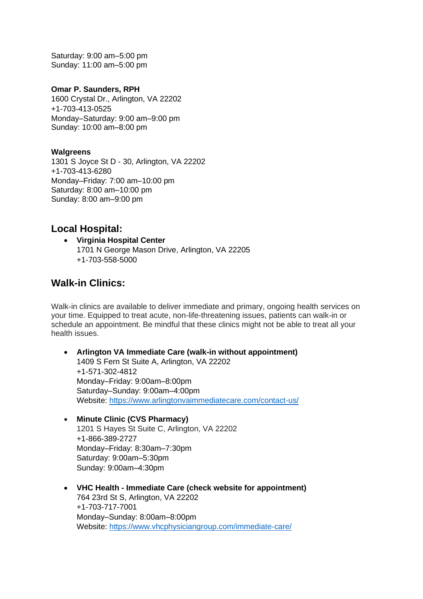Saturday: 9:00 am–5:00 pm Sunday: 11:00 am–5:00 pm

#### **Omar P. Saunders, RPH**

1600 Crystal Dr., Arlington, VA 22202 +1-703-413-0525 Monday–Saturday: 9:00 am–9:00 pm Sunday: 10:00 am–8:00 pm

#### **Walgreens**

1301 S Joyce St D - 30, Arlington, VA 22202 +1-703-413-6280 Monday–Friday: 7:00 am–10:00 pm Saturday: 8:00 am–10:00 pm Sunday: 8:00 am–9:00 pm

## **Local Hospital:**

• **Virginia Hospital Center** 1701 N George Mason Drive, Arlington, VA 22205 +1-703-558-5000

## **Walk-in Clinics:**

Walk-in clinics are available to deliver immediate and primary, ongoing health services on your time. Equipped to treat acute, non-life-threatening issues, patients can walk-in or schedule an appointment. Be mindful that these clinics might not be able to treat all your health issues.

- **Arlington VA Immediate Care (walk-in without appointment)** 1409 S Fern St Suite A, Arlington, VA 22202 +1-571-302-4812 Monday–Friday: 9:00am–8:00pm Saturday–Sunday: 9:00am–4:00pm Website:<https://www.arlingtonvaimmediatecare.com/contact-us/>
- **Minute Clinic (CVS Pharmacy)** 1201 S Hayes St Suite C, Arlington, VA 22202 +1-866-389-2727 Monday–Friday: 8:30am–7:30pm Saturday: 9:00am–5:30pm Sunday: 9:00am–4:30pm
- **VHC Health - Immediate Care (check website for appointment)** 764 23rd St S, Arlington, VA 22202 +1-703-717-7001 Monday–Sunday: 8:00am–8:00pm Website:<https://www.vhcphysiciangroup.com/immediate-care/>